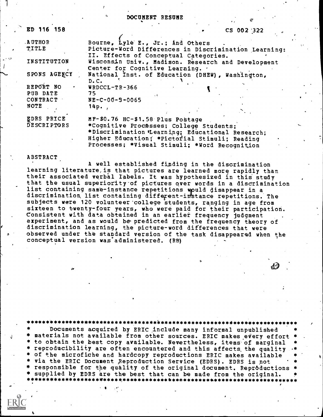DOCUMENT RESUME

| ED 116 158         | CS 002 '322                                          |
|--------------------|------------------------------------------------------|
| <b>AUTHOR</b>      | Bourne, Lyle E., Jr.; And Others                     |
| <b>TITLE</b>       | Picture-Word Differences in Discrimination Learning: |
|                    | II. Effects of Conceptual Categories.                |
| INSTITUTION        | Wisconsin Univ., Madison. Research and Development   |
|                    | Center for Cognitive Learning. .                     |
| SPONS AGENCY       | National Inst. of Education (DHEW), Washington,      |
|                    | D.C.                                                 |
| REPORT NO          | $WROCLL-TR-366$                                      |
| PUB DATE           | 75.                                                  |
| <b>CONTRACT</b>    | $NE-C-00-3-0065$                                     |
| <b>NOTE</b>        | 14p.                                                 |
|                    |                                                      |
| EDRS PRICE         | MF-\$0.76 HC-\$1.58 Plus Postage                     |
| <b>DESCRIPTORS</b> | *Cognitive Processes; College Students;              |
|                    | *Discrimination Learning; Educational Research;      |
|                    | Higher Education; *Pictorial Stimuli; Reading        |

ABSTRACT

A well established finding in the discrimination learning literature, is that pictures are learned more rapidly than their associated verbal labels. It was hypothesized in this study that the usual superiority of pictures over words in a discrimination<br>list containing same-instance repetitions would disappear in a discrimination list containing different-instance repetitions. The subjects were 120 volunteer'college students, ranging in age from sixteen to twenty-four years, who were paid for their participation. Consistent with data obtained in an earlier frequency judgment experiment, and as would be predicted from the frequency theory of discrimination learning, the picture-word differences that were observed under the standard version of the task disappeared when the conceptual version was administered. (RB)

Processes; \*Visual Stimuli; \*Word Recognition

 $40$ 

\*\*\*\*\*\*\*\*\*\*\*\*\*\*\*\*\*\*\*\*\*\*\*\*\*\*\*\*\*\*\*\*\*\*\*\*\*\*\*\*\*\*\*\*\*\*\*\*\*\*\*\*\*\*\*\*\*\*\*\*\*\*\*\*\*\*\*\*\*\* Documents acquired by ERIC include many informal unpublished materials not available from other sources. ERIC makes every effort<br>to obtain the best copy available. Nevertheless, items of marginal reproducibility are often encountered and this affects, the quality of the microfiche and hardcopy reproductions ERIC makes available via the ERIC Document Reproduction Service (EDRS). EDRS is not<br>responsible for the quality of the original document. Reproductions supplied by EDRS are the best that can be made from the original. \*\*\*\*\*\*\*\*\*\*\*\*\*\*\*\*\*\*\*\*\*\*\*\*\*.\*\*\*\*\*\*\*\*\*\*\*\*\*\*\*\*\*\*\*\*\*\*\*\*\*\*\*\*\*\*\*\*\*\*\*\*\*\*\*\*\*\*\*\*\*\*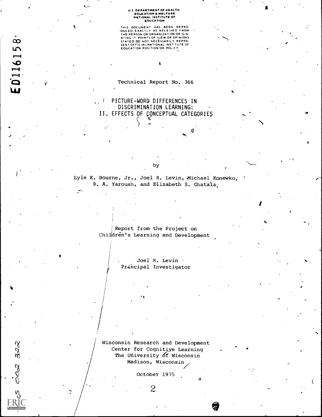#### U S DEPARTMENT OF HEALTH, EDUCATION WELFARE NATIONAL INSTITUTE OF EDUCATION

THIS DOCUMENT HAS BEEN REPROMATION OF EXACTLY AS RECEIVED FROM THE PERSON OR ORANIZATION ORIGINATION CHORAL AND CONTROLLY REPRESSANTLY REPRESSANTLY REPRESSANTLY REPRESSANTLY REPRESSANTLY REPRESSANTLY REPRESSANTLY REPRESSAN

Technical Report No. 366

# <sup>1</sup> PICTURE-WORD DIFFERENCES IN DISCRIMINATION LEARNING: II. EFFECTS OF CONCEPTUAL CATEGORIES

Lyle E. Bourne, Jr., Joel R. Levin, Michael Konewko, R. A. Yaroush, and Elizabeth S. Ghata1a

**I** and the set of  $\mathbb{I}$ 

. .

by

Report from the Project on Children's Learning and Development

> Joel R. Levin . Principal Investigator

Wisconsin Research and Development Center for Cognitive Learning The University of Wisconsin Madison, Wisconsin

October 1975

2

**c** 

ತಿ<ನ

 $\mathcal{O}$ 

 $\eta$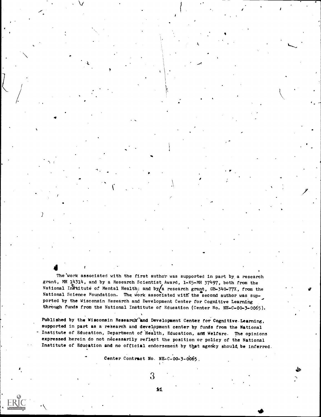The work associated with the first author was supported in part by a research grant, MH 14314, and by a Research Scientist Award, 1-K5-MB 37497, both from the National Institute of Mental Health; and by a research grant, GB-340-77X, from the National Science Foundation. The work associated with the second author was supported by the Wisconsin Research and Development Center for Cognitive Learning through funds from the National Institute of Education (Center No. NE=C=00-3-0065).

r

 $\blacksquare$ 

Published by the Wisconsin Research and Development Center for Cognitive. Learning, supported in part as a research and development center by funds from the National Institute of Education, Department of Health, Education, and Welfare. The opinions expressed herein do not necessarily reflect the position or policy of the National Institute of Education and no official endorsement by that agency should be inferred.

Center Contract No. NE-C-00-3-0065,

 $3\,$  MeV and  $3\,$ 

ki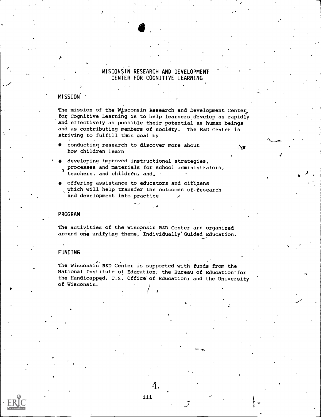## WISCONSIN RESEARCH AND DEVELOPMENT CENTER FOR COGNITIVE LEARNING

#### MISSION '

 $\mathcal{F}$  and the set of  $\mathcal{F}$ 

 $\sim$  -  $\sim$  -  $\sim$ 

The mission of the Wisconsin Research and Development Center, for Cognitive Learning is to help learners develop as rapidly and effectively as possible their potential as human beings and as contributing members of society. The R&D Center is striving to fulfill this goal by

. ∖∎

- conducting research to discover more about how children learn
- developing improved instructional strategies, processes and materials for school administrators, teachers, and children, and,
- offering assistance to educators and citizens which will help transfer the outcomes of fesearch and development into practice

#### PROGRAM

The activities of the Wisconsin R&D Center are organized around one unifying theme, Individually'Guided Education.

#### FUNDING

The Wisconsin R&D Center is supported with funds from the National Institute of Education; the Bureau of Education'for, the Handicapped, U.S. Office of Education; and the University of Wisconsin.

( <sup>I</sup>

4.

iii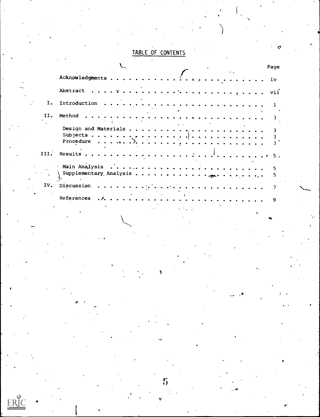# TABLE OF CONTENTS

|     |                                                                                                                       |                   | Page |         |
|-----|-----------------------------------------------------------------------------------------------------------------------|-------------------|------|---------|
|     | Acknowledgments                                                                                                       |                   | iv   |         |
|     | Abstract                                                                                                              |                   |      |         |
| I.  |                                                                                                                       |                   |      |         |
| II. | Method                                                                                                                |                   |      |         |
|     |                                                                                                                       | <b>Controller</b> |      |         |
|     | Procedure $\ldots$ , $\ldots$ , $\ldots$ , $\ldots$ , $\ldots$ , $\ldots$ , $\ldots$ , $\ldots$ , $\ldots$ , $\ldots$ |                   |      |         |
|     |                                                                                                                       |                   |      |         |
|     |                                                                                                                       |                   |      |         |
|     |                                                                                                                       |                   |      |         |
|     | IV. Discussion                                                                                                        |                   |      |         |
|     | References                                                                                                            |                   | 9    |         |
|     |                                                                                                                       |                   |      |         |
|     |                                                                                                                       |                   | دنه  | المنواة |

V

 $5\overline{)}$ 

 $\boxed{\mathop{\mathrm{ERIC}}\limits_{\overbrace{\mathop{\mathsf{Funket}}\limits^{\mathcal{C}}\limits_{\mathop{\mathsf{Forb}}\mathop{\mathsf{C}}\limits^{\mathcal{C}}}}}}$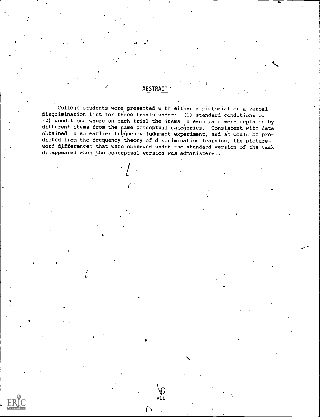# **ABSTRACT**

 $\mathbf{I}$  and  $\mathbf{I}$ 

College students were presented with either a pictorial or a verbal discrimination list for three trials under: (1) standard conditions or (2) conditions where on each trial the items in each pair were replaced by different items from the pame conceptual categories. Consistent with data obtained in an earlier frequency judgment experiment, and as would be predicted from the frequency theory of discrimination learning, the pictureword differences that were observed under the standard version of the task disappeared when the conceptual version was administered.

vii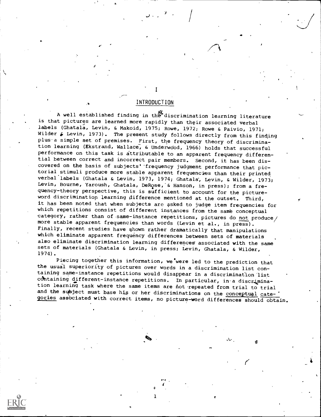# INTRODUCTION

I

A well established finding in the discrimination learning literature is that pictures are learned more rapidly than their associated verbal labels (Ghatala, Levin, & Makoid, 1975; Rowe, 1972; Rowe & Paivio, 1971; Wilder  $\epsilon$  Levin, 1973). The present study follows directly from this finding plus a simple set of premises. First, the frequency theory of discrimination learning (Ekstrand, Wallace, & Underwood, 1966) holds that successful performance on this task is attributable to an apparent frequency differential between correct and incorrect pair members. Second, it has been discovered on the basis of subjects' 'frequency judgment performance that pictorial stimuli produce more stable apparent frequencies than their printed verbal labels (Ghatala & Levin, 1973, 1974; Ghatala, Levin, & Wilder, 1973; Levin, Bourne, Yaroush, Ghatala, DeRose, & Hanson, in press); from a frequency-theory perspective, this is sufficient to account for the pictureword discrimination learning difference mentioned at the outset. Third, it has been noted that when subjects are asked to judge item frequencies for which repetitions consist of different instances from the same conceptual category, rather than of same-instance repetitions, pictures do not produce  $/$ more stable apparent frequencies than words (Levin et al., in press). Finally, recent studies have qhown rather dramatically that manipulations which eliminate apparent frequency differences between sets of materials also eliminate discrimination learning differences' associated with the same sets of materials (Ghatala & Levin, in press; Levin, Ghatala, & Wilder, 1974).

Piecing together this information, we were led to the prediction that the usual superiority of pictures over words in a discrimination list containing same-instance repetitions would disappear in a discrimination list containing different-instance repetitions. In particular, in a discrimination learning task where the same items are not repeated from trial to trial and the subject must base his or her discriminations on the conceptual cate-9orieg assbciated with correct items, no picture-word differences should obtain.

\*\*\*

1

 $\mathcal{C}$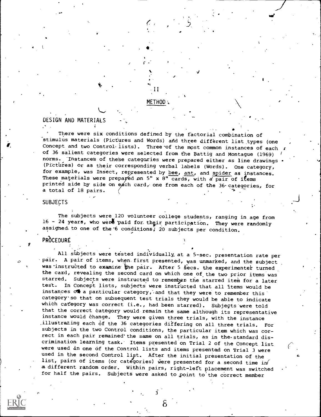#### METHOD:

-II

J"

# DESIGN AND MATERIALS

 $\sim$ There were six conditions defined by the factorial combination of stimulus materials (Pictures and Words) and three different list types (one<br>Concept and two Control lists). Three of the most common instances of each of 36 salient categories were selected from the Battig and Montague (1969) norms. Instances of these categories were prepared either as line drawings (Pictures) or as their corresponding verbal labels (Words). One category, for example, was Insect, represented by bee, ant, and spider as instances. These materials were prepared on 5" x  $8"$  cards, with a pair of items printed side by side on each card, one from each of the 36 categories, for a total of 18 pairs.

#### **SUBJECTS**

The subjects were 120 volunteer college students, ranging in age from 16 - 24 years, who went paid for their participation. They were randomly assigned to one of the 6 conditions; 20 subjects per condition.

# PROCEDURE

All subjects were tested individually at a 5-sec. presentation rate per pair. A pair of items, when first presented, was unmarked, and the subject was instructed to examine the pair. After 5 secs. the experimenter turned the card, revealing the second card on which one of the two prior items was starred. Subjects were instructed to remember the starred item for a later<br>test. In Concept lists, subjects were instructed that all Stems would be In Concept lists, subjects were instructed that all items would be instances  $\sigma$  a particular category, and that they were to remember this category' so that on subsequent test trials they would be able to indicate which category was correct (i.e., had been starred). Subjects were told that the correct category would remain the same although its representative instance would change. They were given three trials, with the instance illustrating each of the 36 categories differing on all three trials. For subjects in the two Control conditions, the particular item which was correct in each pair remained' the same on all trials, as in the standard discrimination learning task. Items presented on Trial 2 of the Concept list were used in one of the Control lists and items presented on Trial 3 were used in the second Control list. After the initial presentation of the list, pairs of items (or categories) were presented for a second time in<br>a different random order. Within pairs, right-left placement was switched for half the pairs. Subjects were asked to point to the correct member

 $\delta$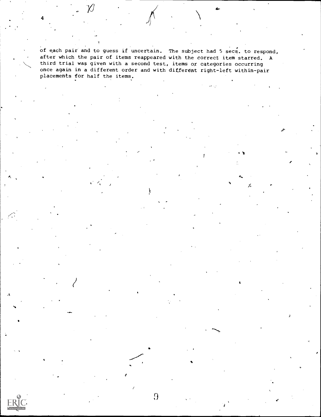of each pair and to guess if uncertain. The subject had 5 secs. to respond, after which the pair of items reappeared with the correct item starred. A third trial was given with a second test, items or categories occurring once again in a different order and with different right-left within-pair placements for half the items.

 $\Omega$ 

J

4

4.-

1

 $\sim$ A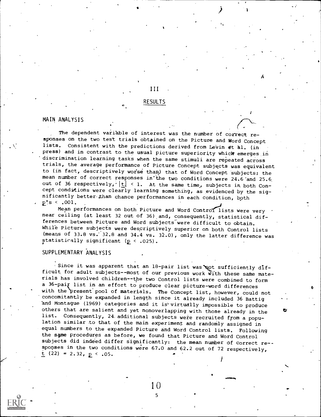# RESULTS

III

A<sub>ccess</sub>

tr

 $\bullet$   $\bullet$   $\bullet$   $\bullet$ 

# MAIN ANALYSIS

The dependent variable of interest was the number of correct responses on the two test trials obtained on the Picture and Word Concept lists. Consistent with the predictions derived from Levin et al. (in press) and in contrast to the usual picture superiority which emerges in discrimination learning tasks when the same stimuli are repeated across trials, the average performance of Picture Concept subjects was equivalent to (in fact, descriptively worse than) that of Word Concept 'subjects; the mean number of correct responses in the two conditions were 24.6 and 25.6 out of 36 respectively,  $|t| < 1$ . At the same time, subjects in both Concept conditions were clearly learning something, as evidenced by the significantly better than chance performances in each condition, both  $p's < .001.$ 

Mean performances on both Picture and Word Control lists were very near ceiling (at least 32 out of 36) and, consequently, statistical differences between Picture and Word subjects were difficult to obtain. While Picture subjects were descriptively superior on both Control lists (means of 33.8 vs.' 32.8 and 34.4 vs. 32.0), only the latter difference was statistically significant  $(p < .025)$ .

#### SUPPLEMENTARY ANALYSIS

Since it was apparent that an  $18$ -pair list was not sufficiently difficult, for adult subjects--most of our previous work With these same materials has involved children--the two Control lists were combined to form a 36-paik list in an effort to produce clear picture-word differences with the present pool of materials. The Concept list, however, could not concomitantly be expanded in length since it already included 36 Battig and Montague (1969) categories and it is-virtually impossible to produce others that are salient and yet nonoverlapping with those already in the list. Consequently, 24. additional subjects were recruited from a population similar to that of the main experiment and randomly assigned in equal numbers to the expanded picture and Word Control lists. Following the same procedures as before, we found that Picture and Word Control subjects did indeed differ significantly: the mean number of correct re-sponses in the two conditions were 67.0 and 62.2 out of 72 respectively,  $t$  (22) = 2.32,  $p \le .05$ .

10

5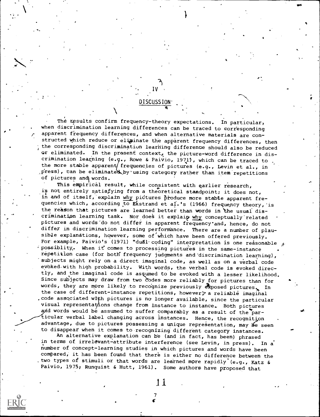The results confirm frequency-theory expectations. In particular,<br>when discrimination learning differences can be traced to corresponding apparent frequency differences, and when alternative materials are con-<br>structed which reduce or eliginate the apparent frequency differences, then the corresponding discrimination learning difference should also be reduced or eliminated. In the present context, the picture-word difference in discrimination learning (e.g., Rowe & Paivio, 1971), which can be traced to the more stable apparent/ frequencies of pictures (e.g., Levin et al., in press), can be eliminated by using category rather than item repetitions of pictures and words.

DISCUSSION

IV and the state of the state of the state of the state of the state of the state of the state of the state of the state of the state of the state of the state of the state of the state of the state of the state of the sta

a

ae-

This empirical result, while consistent with earlier research, is not entirely satisfying from a theoretical standpoint; it does not, in and of itself, explain why pictures produce more stable apparent frequencies which, according to Ekstrand et al.'s (1966) frequency theory, is the reason that pictures are learned better than words in the usual discrimination learning task. Nor does it explaip why conceptually related pictures and words do not differ in apparent frequency and, hence, do not differ in discrimination learning performance. There are a number of plausible explanations, however, some of which have been offered previously. For example, Paivio's (1971) "dual coding" interpretation is one reasonable  $\beta$  possiblity. When it comes to processing pictures in the same-instance repetition case (for both frequency judgments and discrimination learning), subjects might rely on a direct imaginal code, as well as on a verbal code evoked with high probability. With words, the verbal code is evoked directly, and the imaginal code is assumed to be evoked with a lesser likelihood. Since subjects may draw from two bodes more reliably for pictures than for words, they are more likely to recognize previously exposed pictures. In the case of different-instance repetitions, however $\tilde{z}$  a reliable imaginal code associated with pictures is no longer available, since the particular visual representations change from instance to instance. Both pictures and words would be assumed to suffer comparably as a result of the  $T_{\text{par}}$ ticular verbal label changing across instances. Hence, the recognition advantage, due to pictures possessing a unique representation, may  $e$  seen to disappear when it comes to recognizing different category instances.

An alternative explanation can be (and in fact, has been) phrased in terms of irrelevant-attribute interference (see Levin, in press). In a number of concept-learning studies in which pictures and words have been compared, it has been found that there is either no difference between the two types of stimuli or that words are learned more rapidly (e.g., Katz & Paivio, 1975; Runquist & Hutt, 1961). Some authors have proposed that

 $\mathcal{T}$  and  $\mathcal{T}$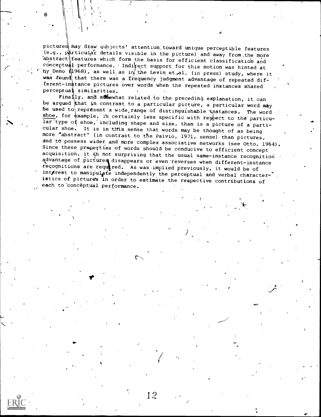pictures may draw subjects' attention toward unique perceptible features (e.g., particular details visible in the picture) and away from the more 'abstract features which form the basis for efficient classification and  $\tilde{\text{concept}}$  performance. Indi $\text{fect support}$  for this notion was hinted at hy Deno (1968), as well as in the Levin et al. (in press) study, where it was found that there was a frequency judgment advantage of repeated different-instance pictures over words when the repeated instances shared perceptual similarities.

 $\frac{1}{2}$  Finally, and somewhat related to the preceding explanation, it can be argued that in contrast to a particular picture, a particular word may be used to represent a wide, range of distinguishable instances. The word shoe, for  $\phi$ xample, is certainly less specific with respect to the particular type of shoe, including shape and size, than is a picture of a particular shoe. It is in this sense that words may be thought of as being more "abstract" (in contrast to the Paivio, 1971, sense) than pictures,<br>and to possess wider and more complex associative networks (see Otto, 1964). Since these properties of words should be conducive to efficient concept acquisition, it  $i$ s not surprising that the usual same-instance recognition advantage of pictures disappears or even reverses when different-instance recognitions are required. As was implied previously, it would be of interest to manipulate independently the perceptual and verbal character- $\cdot$ . istics of pictures in order to estimate the respective contributions of each to conceptual performance.

12

 $\sim$ 

 $4.44\times 10^{-4}$ 

 $\mathcal{L}$  is a set of  $\mathcal{L}$ 

7-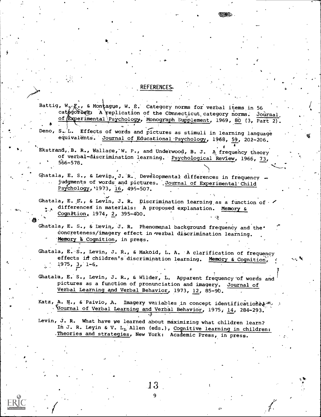### . REFERENCES-

Battig, W, R., & Montague, W. E. Category norms for verbal items in 56 and 1. categories: A replication of the Connecticut category norms. Journal, of Experimental Psychology, Monograph Supplement, 1969, 80 (3, Part 2).  $\bullet$  .  $\bullet$ 

Deno,  $S_{\infty}$ 'L. Effects of words and pictures as stimuli in learning language equivalents. Journal of Educational Psychology, 1968, 59, 202-206. .

Ekstrand, B. R., Wallace, W. P., and Underwood, B. J. A frequency theory of verbal-discrimination learning. Psychological Review, 1966, 73,  $566 - 578.$ 

Ghatala, E. S., & Levin, J. R., Developmental differences in frequency  $$ judgments of words and pictures. Journal of Experimental Child Psychology, '1973, 16, 495-507.

Ghatala, E. S., & Levin, J. R. Discrimination learning as a function of  $\sim$ <br> $\frac{1}{2}$  differences in materials: A proposed explanation. Memory & A differences in materials: A proposed explanation. Memory &  $\frac{\text{Cognition}}{\text{L}}$  1974,  $\frac{2}{3}$ , 395-400.

Ghatala, E. S., & Levin, J. R. Phenomenal background frequency and the<sup>\*</sup>  $concreteness/imagery$  effect in  $ve$ rbal discrimination learning. Memory & Cognition, in press.

Ghatala, E.S., Levin, J. R., & MakOid, L. A. 'A clarification of frequency effects in children's discrimination learning. Memory & Cognition,  $1975, 3, 1-6.$ 

Ghatala, E. S., Levin, J. R., & Wilder, L. Apparent frequency'of words and pictures as a function of pronunciation and imagery. Journal of Verbal Learning and Verbal Behavior, 1973, 12, 85-9b.

f

F-

Katz, A. N., & Paivio, A. Imagery variables in concept identifications, Vournal of Verbal Learning and Verbal Behavior, 1975, 14, 284-293.

Levin, J. R. What have we learned about maximizing what children learn? In J. R. Leyin & V. L. Allen (eds.), Cognitive learning in children: .Theories and strategies, New York: Academic Press, in press.

9